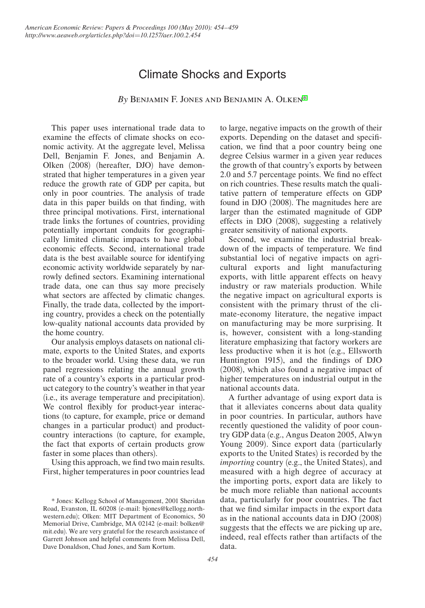# Climate Shocks and Exports

*By* Benjamin F. Jones and Benjamin A. Olken\*

This paper uses international trade data to examine the effects of climate shocks on economic activity. At the aggregate level, Melissa Dell, Benjamin F. Jones, and Benjamin A. Olken (2008) (hereafter, DJO) have demonstrated that higher temperatures in a given year reduce the growth rate of GDP per capita, but only in poor countries. The analysis of trade data in this paper builds on that finding, with three principal motivations. First, international trade links the fortunes of countries, providing potentially important conduits for geographically limited climatic impacts to have global economic effects. Second, international trade data is the best available source for identifying economic activity worldwide separately by narrowly defined sectors. Examining international trade data, one can thus say more precisely what sectors are affected by climatic changes. Finally, the trade data, collected by the importing country, provides a check on the potentially low-quality national accounts data provided by the home country.

Our analysis employs datasets on national climate, exports to the United States, and exports to the broader world. Using these data, we run panel regressions relating the annual growth rate of a country's exports in a particular product category to the country's weather in that year (i.e., its average temperature and precipitation). We control flexibly for product-year interactions (to capture, for example, price or demand changes in a particular product) and productcountry interactions (to capture, for example, the fact that exports of certain products grow faster in some places than others).

Using this approach, we find two main results. First, higher temperatures in poor countries lead to large, negative impacts on the growth of their exports. Depending on the dataset and specification, we find that a poor country being one degree Celsius warmer in a given year reduces the growth of that country's exports by between 2.0 and 5.7 percentage points. We find no effect on rich countries. These results match the qualitative pattern of temperature effects on GDP found in DJO (2008). The magnitudes here are larger than the estimated magnitude of GDP effects in DJO (2008), suggesting a relatively greater sensitivity of national exports.

Second, we examine the industrial breakdown of the impacts of temperature. We find substantial loci of negative impacts on agricultural exports and light manufacturing exports, with little apparent effects on heavy industry or raw materials production. While the negative impact on agricultural exports is consistent with the primary thrust of the climate-economy literature, the negative impact on manufacturing may be more surprising. It is, however, consistent with a long-standing literature emphasizing that factory workers are less productive when it is hot (e.g., Ellsworth Huntington 1915), and the findings of DJO (2008), which also found a negative impact of higher temperatures on industrial output in the national accounts data.

A further advantage of using export data is that it alleviates concerns about data quality in poor countries. In particular, authors have recently questioned the validity of poor country GDP data (e.g., Angus Deaton 2005, Alwyn Young 2009). Since export data (particularly exports to the United States) is recorded by the *importing* country (e.g., the United States), and measured with a high degree of accuracy at the importing ports, export data are likely to be much more reliable than national accounts data, particularly for poor countries. The fact that we find similar impacts in the export data as in the national accounts data in DJO (2008) suggests that the effects we are picking up are, indeed, real effects rather than artifacts of the data.

<sup>\*</sup> Jones: Kellogg School of Management, 2001 Sheridan Road, Evanston, IL 60208 (e-mail: bjones@kellogg.northwestern.edu); Olken: MIT Department of Economics, 50 Memorial Drive, Cambridge, MA 02142 (e-mail: bolken@ mit.edu). We are very grateful for the research assistance of Garrett Johnson and helpful comments from Melissa Dell, Dave Donaldson, Chad Jones, and Sam Kortum.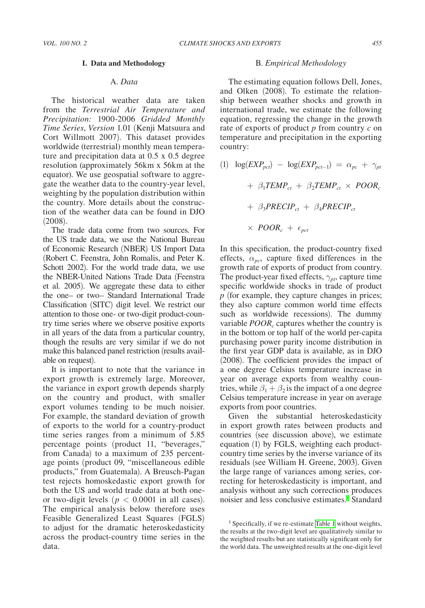## **I. Data and Methodology**

# A. *Data*

The historical weather data are taken from the *Terrestrial Air Temperature and Precipitation:* 1900*-*2006 *Gridded Monthly Time Series*, *Version* 1*.*01 (Kenji Matsuura and Cort Willmott 2007)*.* This dataset provides worldwide (terrestrial) monthly mean temperature and precipitation data at 0.5 x 0.5 degree resolution (approximately 56km x 56km at the equator). We use geospatial software to aggregate the weather data to the country-year level, weighting by the population distribution within the country. More details about the construction of the weather data can be found in DJO (2008)*.*

The trade data come from two sources. For the US trade data, we use the National Bureau of Economic Research (NBER) US Import Data (Robert C. Feenstra, John Romalis, and Peter K. Schott 2002)*.* For the world trade data, we use the NBER-United Nations Trade Data (Feenstra et al*.* 2005)*.* We aggregate these data to either the one– or two– Standard International Trade Classification (SITC) digit level. We restrict our attention to those one- or two-digit product-country time series where we observe positive exports in all years of the data from a particular country, though the results are very similar if we do not make this balanced panel restriction (results available on request)*.*

It is important to note that the variance in export growth is extremely large. Moreover, the variance in export growth depends sharply on the country and product, with smaller export volumes tending to be much noisier. For example, the standard deviation of growth of exports to the world for a country-product time series ranges from a minimum of 5.85 percentage points (product 11, "beverages," from Canada) to a maximum of 235 percentage points (product 09, "miscellaneous edible products," from Guatemala). A Breusch-Pagan test rejects homoskedastic export growth for both the US and world trade data at both oneor two-digit levels ( $p < 0.0001$  in all cases). The empirical analysis below therefore uses Feasible Generalized Least Squares (FGLS) to adjust for the dramatic heteroskedasticity across the product-country time series in the data.

## B. *Empirical Methodology*

The estimating equation follows Dell, Jones, and Olken (2008). To estimate the relationship between weather shocks and growth in international trade, we estimate the following equation, regressing the change in the growth rate of exports of product *p* from country *c* on temperature and precipitation in the exporting country:

(1)  $\log(EXP_{\text{pc}t}) - \log(EXP_{\text{pc}t-1}) = \alpha_{\text{pc}} + \gamma_{\text{pt}}$  $+ \beta_1 TEMP_{ct} + \beta_2 TEMP_{ct} \times POOR_c$  $+ \beta_3 PRECIP_{ct} + \beta_4 PRECIP_{ct}$  $\times$  *POOR<sub>c</sub>* +  $\epsilon_{\textit{pct}}$ 

In this specification, the product-country fixed effects,  $\alpha_{pc}$ , capture fixed differences in the growth rate of exports of product from country. The product-year fixed effects,  $\gamma_{pt}$ , capture time specific worldwide shocks in trade of product *p* (for example, they capture changes in prices; they also capture common world time effects such as worldwide recessions). The dummy variable *POOR<sub>c</sub>* captures whether the country is in the bottom or top half of the world per-capita purchasing power parity income distribution in the first year GDP data is available, as in DJO (2008). The coefficient provides the impact of a one degree Celsius temperature increase in year on average exports from wealthy countries, while  $\beta_1 + \beta_2$  is the impact of a one degree Celsius temperature increase in year on average exports from poor countries.

Given the substantial heteroskedasticity in export growth rates between products and countries (see discussion above), we estimate equation (1) by FGLS, weighting each productcountry time series by the inverse variance of its residuals (see William H. Greene, 2003). Given the large range of variances among series, correcting for heteroskedasticity is important, and analysis without any such corrections produces noisier and less conclusive estimates.<sup>1</sup> Standard

<sup>&</sup>lt;sup>1</sup> Specifically, if we re-estimate [Table 1](#page-2-0) without weights, the results at the two-digit level are qualitatively similar to the weighted results but are statistically significant only for the world data. The unweighted results at the one-digit level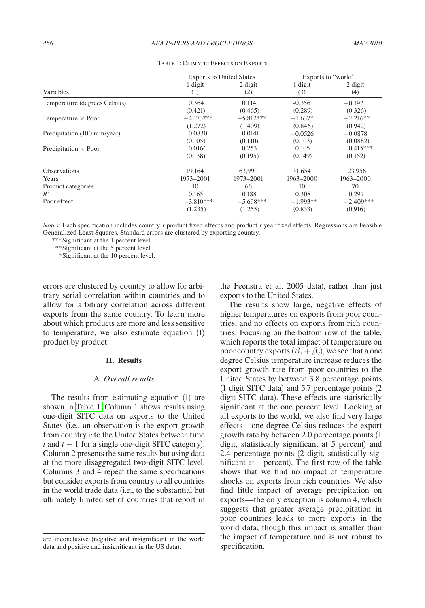<span id="page-2-0"></span>

|                               | <b>Exports to United States</b> |             | Exports to "world" |             |
|-------------------------------|---------------------------------|-------------|--------------------|-------------|
|                               | 1 digit                         | 2 digit     | 1 digit            | 2 digit     |
| Variables                     | (1)                             | (2)         | (3)                | (4)         |
| Temperature (degrees Celsius) | 0.364                           | 0.114       | $-0.356$           | $-0.192$    |
|                               | (0.421)                         | (0.465)     | (0.289)            | (0.326)     |
| Temperature $\times$ Poor     | $-4.173***$                     | $-5.812***$ | $-1.637*$          | $-2.216**$  |
|                               | (1.272)                         | (1.409)     | (0.846)            | (0.942)     |
| Precipitation (100 mm/year)   | 0.0830                          | 0.0141      | $-0.0526$          | $-0.0878$   |
|                               | (0.105)                         | (0.110)     | (0.103)            | (0.0882)    |
| Precipitation $\times$ Poor   | 0.0166                          | 0.253       | 0.105              | $0.415***$  |
|                               | (0.138)                         | (0.195)     | (0.149)            | (0.152)     |
| <b>Observations</b>           | 19.164                          | 63,990      | 31.654             | 123,956     |
| Years                         | 1973-2001                       | 1973-2001   | 1963-2000          | 1963-2000   |
| Product categories            | 10                              | 66          | 10                 | 70          |
| $R^2$                         | 0.165                           | 0.188       | 0.308              | 0.297       |
| Poor effect                   | $-3.810***$                     | $-5.698***$ | $-1.993**$         | $-2.409***$ |
|                               | (1.235)                         | (1.255)     | (0.833)            | (0.916)     |

Table 1: Climatic Effects on Exports

*Notes:* Each specification includes country *x* product fixed effects and product *x* year fixed effects. Regressions are Feasible Generalized Least Squares. Standard errors are clustered by exporting country.

*\*\*\**Significant at the 1 percent level.

*\*\**Significant at the 5 percent level.

 *\**Significant at the 10 percent level.

errors are clustered by country to allow for arbitrary serial correlation within countries and to allow for arbitrary correlation across different exports from the same country. To learn more about which products are more and less sensitive to temperature, we also estimate equation (1) product by product.

#### **II. Results**

# A. *Overall results*

The results from estimating equation (1) are shown in Table 1. Column 1 shows results using one-digit SITC data on exports to the United States (i.e., an observation is the export growth from country *c* to the United States between time *t* and  $t - 1$  for a single one-digit SITC category). Column 2 presents the same results but using data at the more disaggregated two-digit SITC level. Columns 3 and 4 repeat the same specifications but consider exports from country to all countries in the world trade data (i.e., to the substantial but ultimately limited set of countries that report in

the Feenstra et al. 2005 data), rather than just exports to the United States.

The results show large, negative effects of higher temperatures on exports from poor countries, and no effects on exports from rich countries. Focusing on the bottom row of the table, which reports the total impact of temperature on poor country exports  $(\beta_1 + \beta_2)$ , we see that a one degree Celsius temperature increase reduces the export growth rate from poor countries to the United States by between 3.8 percentage points (1 digit SITC data) and 5.7 percentage points (2 digit SITC data). These effects are statistically significant at the one percent level. Looking at all exports to the world, we also find very large effects—one degree Celsius reduces the export growth rate by between 2.0 percentage points (1 digit, statistically significant at 5 percent) and 2.4 percentage points (2 digit, statistically significant at 1 percent). The first row of the table shows that we find no impact of temperature shocks on exports from rich countries. We also find little impact of average precipitation on exports—the only exception is column 4, which suggests that greater average precipitation in poor countries leads to more exports in the world data, though this impact is smaller than the impact of temperature and is not robust to specification.

are inconclusive (negative and insignificant in the world data and positive and insignificant in the US data).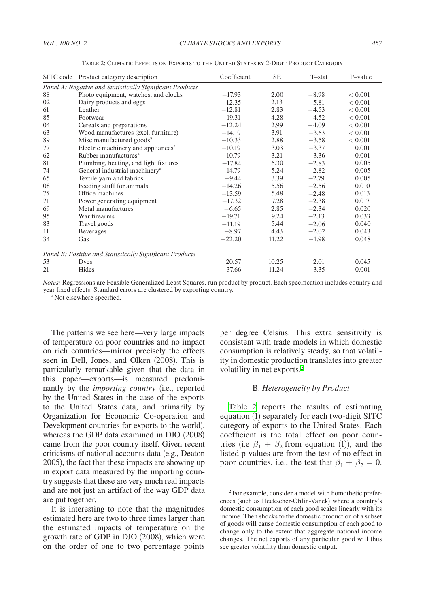<span id="page-3-0"></span>

|                                                          | SITC code Product category description         | Coefficient | <b>SE</b> | $T-stat$ | P-value |  |  |  |
|----------------------------------------------------------|------------------------------------------------|-------------|-----------|----------|---------|--|--|--|
| Panel A: Negative and Statistically Significant Products |                                                |             |           |          |         |  |  |  |
| 88                                                       | Photo equipment, watches, and clocks           | $-17.93$    | 2.00      | $-8.98$  | < 0.001 |  |  |  |
| 02                                                       | Dairy products and eggs                        | $-12.35$    | 2.13      | $-5.81$  | < 0.001 |  |  |  |
| 61                                                       | Leather                                        | $-12.81$    | 2.83      | $-4.53$  | < 0.001 |  |  |  |
| 85                                                       | Footwear                                       | $-19.31$    | 4.28      | $-4.52$  | < 0.001 |  |  |  |
| 04                                                       | Cereals and preparations                       | $-12.24$    | 2.99      | $-4.09$  | < 0.001 |  |  |  |
| 63                                                       | Wood manufactures (excl. furniture)            | $-14.19$    | 3.91      | $-3.63$  | < 0.001 |  |  |  |
| 89                                                       | Misc manufactured goods <sup>a</sup>           | $-10.33$    | 2.88      | $-3.58$  | < 0.001 |  |  |  |
| 77                                                       | Electric machinery and appliances <sup>a</sup> | $-10.19$    | 3.03      | $-3.37$  | 0.001   |  |  |  |
| 62                                                       | Rubber manufactures <sup>a</sup>               | $-10.79$    | 3.21      | $-3.36$  | 0.001   |  |  |  |
| 81                                                       | Plumbing, heating, and light fixtures          | $-17.84$    | 6.30      | $-2.83$  | 0.005   |  |  |  |
| 74                                                       | General industrial machinery <sup>a</sup>      | $-14.79$    | 5.24      | $-2.82$  | 0.005   |  |  |  |
| 65                                                       | Textile yarn and fabrics                       | $-9.44$     | 3.39      | $-2.79$  | 0.005   |  |  |  |
| 08                                                       | Feeding stuff for animals                      | $-14.26$    | 5.56      | $-2.56$  | 0.010   |  |  |  |
| 75                                                       | Office machines                                | $-13.59$    | 5.48      | $-2.48$  | 0.013   |  |  |  |
| 71                                                       | Power generating equipment                     | $-17.32$    | 7.28      | $-2.38$  | 0.017   |  |  |  |
| 69                                                       | Metal manufactures <sup>a</sup>                | $-6.65$     | 2.85      | $-2.34$  | 0.020   |  |  |  |
| 95                                                       | War firearms                                   | $-19.71$    | 9.24      | $-2.13$  | 0.033   |  |  |  |
| 83                                                       | Travel goods                                   | $-11.19$    | 5.44      | $-2.06$  | 0.040   |  |  |  |
| 11                                                       | Beverages                                      | $-8.97$     | 4.43      | $-2.02$  | 0.043   |  |  |  |
| 34                                                       | Gas                                            | $-22.20$    | 11.22     | $-1.98$  | 0.048   |  |  |  |
| Panel B: Positive and Statistically Significant Products |                                                |             |           |          |         |  |  |  |
| 53                                                       | Dyes                                           | 20.57       | 10.25     | 2.01     | 0.045   |  |  |  |
| 21                                                       | Hides                                          | 37.66       | 11.24     | 3.35     | 0.001   |  |  |  |

Table 2: Climatic Effects on Exports to the United States by 2-Digit Product Category

*Notes:* Regressions are Feasible Generalized Least Squares, run product by product. Each specification includes country and year fixed effects. Standard errors are clustered by exporting country.

<sup>a</sup> Not elsewhere specified.

The patterns we see here—very large impacts of temperature on poor countries and no impact on rich countries—mirror precisely the effects seen in Dell, Jones, and Olken (2008). This is particularly remarkable given that the data in this paper—exports—is measured predominantly by the *importing country* (i.e., reported by the United States in the case of the exports to the United States data, and primarily by Organization for Economic Co-operation and Development countries for exports to the world), whereas the GDP data examined in DJO (2008) came from the poor country itself. Given recent criticisms of national accounts data (e.g., Deaton 2005), the fact that these impacts are showing up in export data measured by the importing country suggests that these are very much real impacts and are not just an artifact of the way GDP data are put together.

It is interesting to note that the magnitudes estimated here are two to three times larger than the estimated impacts of temperature on the growth rate of GDP in DJO (2008), which were on the order of one to two percentage points

per degree Celsius. This extra sensitivity is consistent with trade models in which domestic consumption is relatively steady, so that volatility in domestic production translates into greater volatility in net exports.<sup>2</sup>

#### B. *Heterogeneity by Product*

Table 2 reports the results of estimating equation (1) separately for each two-digit SITC category of exports to the United States. Each coefficient is the total effect on poor countries (i.e  $\beta_1 + \beta_2$  from equation (1)), and the listed p-values are from the test of no effect in poor countries, i.e., the test that  $\beta_1 + \beta_2 = 0$ .

<sup>2</sup> For example, consider a model with homothetic preferences (such as Heckscher-Ohlin-Vanek) where a country's domestic consumption of each good scales linearly with its income. Then shocks to the domestic production of a subset of goods will cause domestic consumption of each good to change only to the extent that aggregate national income changes. The net exports of any particular good will thus see greater volatility than domestic output.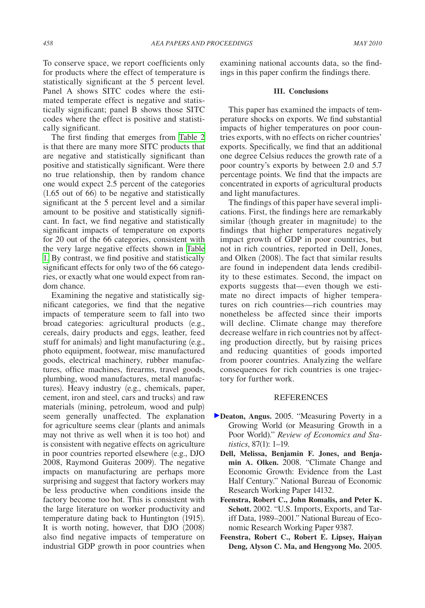To conserve space, we report coefficients only for products where the effect of temperature is statistically significant at the 5 percent level. Panel A shows SITC codes where the estimated temperate effect is negative and statistically significant; panel B shows those SITC codes where the effect is positive and statistically significant.

The first finding that emerges from [Table 2](#page-3-0)  is that there are many more SITC products that are negative and statistically significant than positive and statistically significant. Were there no true relationship, then by random chance one would expect 2.5 percent of the categories (1.65 out of 66) to be negative and statistically significant at the 5 percent level and a similar amount to be positive and statistically significant. In fact, we find negative and statistically significant impacts of temperature on exports for 20 out of the 66 categories, consistent with the very large negative effects shown in [Table](#page-2-0)  [1.](#page-2-0) By contrast, we find positive and statistically significant effects for only two of the 66 categories, or exactly what one would expect from random chance.

Examining the negative and statistically significant categories, we find that the negative impacts of temperature seem to fall into two broad categories: agricultural products (e.g., cereals, dairy products and eggs, leather, feed stuff for animals) and light manufacturing (e.g., photo equipment, footwear, misc manufactured goods, electrical machinery, rubber manufactures, office machines, firearms, travel goods, plumbing, wood manufactures, metal manufactures). Heavy industry (e.g., chemicals, paper, cement, iron and steel, cars and trucks) and raw materials (mining, petroleum, wood and pulp) seem generally unaffected. The explanation for agriculture seems clear (plants and animals may not thrive as well when it is too hot) and is consistent with negative effects on agriculture in poor countries reported elsewhere (e.g., DJO 2008, Raymond Guiteras 2009). The negative impacts on manufacturing are perhaps more surprising and suggest that factory workers may be less productive when conditions inside the factory become too hot. This is consistent with the large literature on worker productivity and temperature dating back to Huntington (1915). It is worth noting, however, that DJO (2008) also find negative impacts of temperature on industrial GDP growth in poor countries when

examining national accounts data, so the findings in this paper confirm the findings there.

### **III. Conclusions**

This paper has examined the impacts of temperature shocks on exports. We find substantial impacts of higher temperatures on poor countries exports, with no effects on richer countries' exports. Specifically, we find that an additional one degree Celsius reduces the growth rate of a poor country's exports by between 2.0 and 5.7 percentage points. We find that the impacts are concentrated in exports of agricultural products and light manufactures.

The findings of this paper have several implications. First, the findings here are remarkably similar (though greater in magnitude) to the findings that higher temperatures negatively impact growth of GDP in poor countries, but not in rich countries, reported in Dell, Jones, and Olken (2008). The fact that similar results are found in independent data lends credibility to these estimates. Second, the impact on exports suggests that—even though we estimate no direct impacts of higher temperatures on rich countries—rich countries may nonetheless be affected since their imports will decline. Climate change may therefore decrease welfare in rich countries not by affecting production directly, but by raising prices and reducing quantities of goods imported from poorer countries. Analyzing the welfare consequences for rich countries is one trajectory for further work.

# **REFERENCES**

- **Deaton, Angus.** 2005. "Measuring Poverty in a Growing World (or Measuring Growth in a Poor World)." *Review of Economics and Statistics*, 87(1): 1–19.
	- **Dell, Melissa, Benjamin F. Jones, and Benjamin A. Olken.** 2008. "Climate Change and Economic Growth: Evidence from the Last Half Century." National Bureau of Economic Research Working Paper 14132.
	- **Feenstra, Robert C., John Romalis, and Peter K. Schott.** 2002. "U.S. Imports, Exports, and Tariff Data, 1989–2001." National Bureau of Economic Research Working Paper 9387.
	- **Feenstra, Robert C., Robert E. Lipsey, Haiyan Deng, Alyson C. Ma, and Hengyong Mo.** 2005.